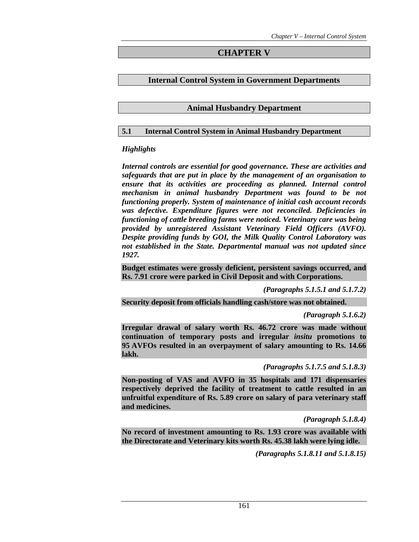# **CHAPTER V**

# **Internal Control System in Government Departments**

## **Animal Husbandry Department**

### **5.1 Internal Control System in Animal Husbandry Department**

## *Highlights*

*Internal controls are essential for good governance. These are activities and safeguards that are put in place by the management of an organisation to ensure that its activities are proceeding as planned. Internal control mechanism in animal husbandry Department was found to be not functioning properly. System of maintenance of initial cash account records was defective. Expenditure figures were not reconciled. Deficiencies in functioning of cattle breeding farms were noticed. Veterinary care was being provided by unregistered Assistant Veterinary Field Officers (AVFO). Despite providing funds by GOI, the Milk Quality Control Laboratory was not established in the State. Departmental manual was not updated since 1927.* 

**Budget estimates were grossly deficient, persistent savings occurred, and Rs. 7.91 crore were parked in Civil Deposit and with Corporations.** 

*(Paragraphs 5.1.5.1 and 5.1.7.2)* 

**Security deposit from officials handling cash/store was not obtained.** 

*(Paragraph 5.1.6.2)* 

**Irregular drawal of salary worth Rs. 46.72 crore was made without continuation of temporary posts and irregular** *insitu* **promotions to 95 AVFOs resulted in an overpayment of salary amounting to Rs. 14.66 lakh.** 

*(Paragraphs 5.1.7.5 and 5.1.8.3)* 

**Non-posting of VAS and AVFO in 35 hospitals and 171 dispensaries respectively deprived the facility of treatment to cattle resulted in an unfruitful expenditure of Rs. 5.89 crore on salary of para veterinary staff and medicines.** 

*(Paragraph 5.1.8.4)* 

**No record of investment amounting to Rs. 1.93 crore was available with the Directorate and Veterinary kits worth Rs. 45.38 lakh were lying idle.** 

*(Paragraphs 5.1.8.11 and 5.1.8.15)*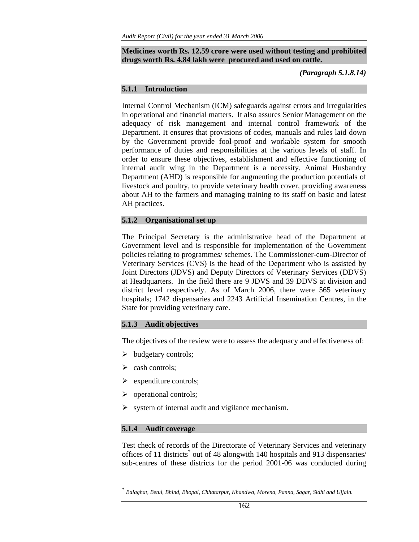### **Medicines worth Rs. 12.59 crore were used without testing and prohibited drugs worth Rs. 4.84 lakh were procured and used on cattle.**

*(Paragraph 5.1.8.14)* 

### **5.1.1 Introduction**

Internal Control Mechanism (ICM) safeguards against errors and irregularities in operational and financial matters. It also assures Senior Management on the adequacy of risk management and internal control framework of the Department. It ensures that provisions of codes, manuals and rules laid down by the Government provide fool-proof and workable system for smooth performance of duties and responsibilities at the various levels of staff. In order to ensure these objectives, establishment and effective functioning of internal audit wing in the Department is a necessity. Animal Husbandry Department (AHD) is responsible for augmenting the production potentials of livestock and poultry, to provide veterinary health cover, providing awareness about AH to the farmers and managing training to its staff on basic and latest AH practices.

## **5.1.2 Organisational set up**

The Principal Secretary is the administrative head of the Department at Government level and is responsible for implementation of the Government policies relating to programmes/ schemes. The Commissioner-cum-Director of Veterinary Services (CVS) is the head of the Department who is assisted by Joint Directors (JDVS) and Deputy Directors of Veterinary Services (DDVS) at Headquarters. In the field there are 9 JDVS and 39 DDVS at division and district level respectively. As of March 2006, there were 565 veterinary hospitals; 1742 dispensaries and 2243 Artificial Insemination Centres, in the State for providing veterinary care.

### **5.1.3 Audit objectives**

The objectives of the review were to assess the adequacy and effectiveness of:

- $\triangleright$  budgetary controls;
- $\triangleright$  cash controls;
- $\triangleright$  expenditure controls;
- $\triangleright$  operational controls;
- $\triangleright$  system of internal audit and vigilance mechanism.

### **5.1.4 Audit coverage**

 $\overline{a}$ 

Test check of records of the Directorate of Veterinary Services and veterinary offices of 11 districts<sup>\*</sup> out of 48 alongwith 140 hospitals and 913 dispensaries/ sub-centres of these districts for the period 2001-06 was conducted during

*<sup>\*</sup> Balaghat, Betul, Bhind, Bhopal, Chhatarpur, Khandwa, Morena, Panna, Sagar, Sidhi and Ujjain.*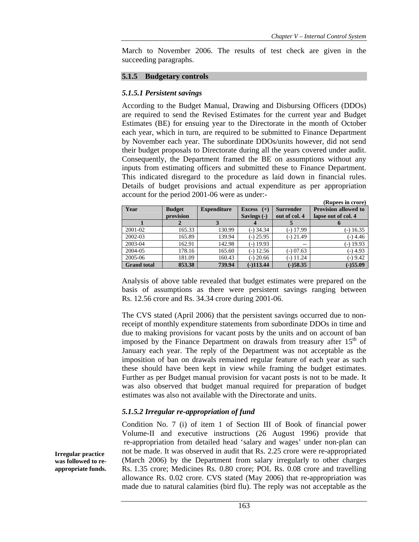**(Rupees in crore)** 

March to November 2006. The results of test check are given in the succeeding paragraphs.

#### **5.1.5 Budgetary controls**

#### *5.1.5.1 Persistent savings*

According to the Budget Manual, Drawing and Disbursing Officers (DDOs) are required to send the Revised Estimates for the current year and Budget Estimates (BE) for ensuing year to the Directorate in the month of October each year, which in turn, are required to be submitted to Finance Department by November each year. The subordinate DDOs/units however, did not send their budget proposals to Directorate during all the years covered under audit. Consequently, the Department framed the BE on assumptions without any inputs from estimating officers and submitted these to Finance Department. This indicated disregard to the procedure as laid down in financial rules. Details of budget provisions and actual expenditure as per appropriation account for the period 2001-06 were as under:-

| Year               | <b>Budget</b> | <b>Expenditure</b> | Excess $(+)$ | <b>Provision allowed to</b><br><b>Surrender</b> |                     |
|--------------------|---------------|--------------------|--------------|-------------------------------------------------|---------------------|
|                    | provision     |                    | Savings (-)  | out of col. 4                                   | lapse out of col. 4 |
|                    |               |                    |              |                                                 |                     |
| 2001-02            | 165.33        | 130.99             | $(-)$ 34.34  | (-) 17.99                                       | $(-)$ 16.35         |
| 2002-03            | 165.89        | 139.94             | $(-)$ 25.95  | $(-)$ 21.49                                     | $(-)$ 4.46          |
| 2003-04            | 162.91        | 142.98             | $(-)$ 19.93  | $- -$                                           | (-) 19.93           |
| 2004-05            | 178.16        | 165.60             | $(-)$ 12.56  | $(-) 07.63$                                     | $(-)$ 4.93          |
| 2005-06            | 181.09        | 160.43             | $(-)$ 20.66  | $(-)$ 11.24                                     | $(-) 9.42$          |
| <b>Grand</b> total | 853.38        | 739.94             | $(-)113.44$  | $(-)58.35$                                      | $(-)55.09$          |

Analysis of above table revealed that budget estimates were prepared on the basis of assumptions as there were persistent savings ranging between Rs. 12.56 crore and Rs. 34.34 crore during 2001-06.

The CVS stated (April 2006) that the persistent savings occurred due to nonreceipt of monthly expenditure statements from subordinate DDOs in time and due to making provisions for vacant posts by the units and on account of ban imposed by the Finance Department on drawals from treasury after  $15<sup>th</sup>$  of January each year. The reply of the Department was not acceptable as the imposition of ban on drawals remained regular feature of each year as such these should have been kept in view while framing the budget estimates. Further as per Budget manual provision for vacant posts is not to be made. It was also observed that budget manual required for preparation of budget estimates was also not available with the Directorate and units.

#### *5.1.5.2 Irregular re-appropriation of fund*

Condition No. 7 (i) of item 1 of Section III of Book of financial power Volume-II and executive instructions (26 August 1996) provide that re-appropriation from detailed head 'salary and wages' under non-plan can not be made. It was observed in audit that Rs. 2.25 crore were re-appropriated (March 2006) by the Department from salary irregularly to other charges Rs. 1.35 crore; Medicines Rs. 0.80 crore; POL Rs. 0.08 crore and travelling allowance Rs. 0.02 crore. CVS stated (May 2006) that re-appropriation was made due to natural calamities (bird flu). The reply was not acceptable as the

**Irregular practice was followed to reappropriate funds.**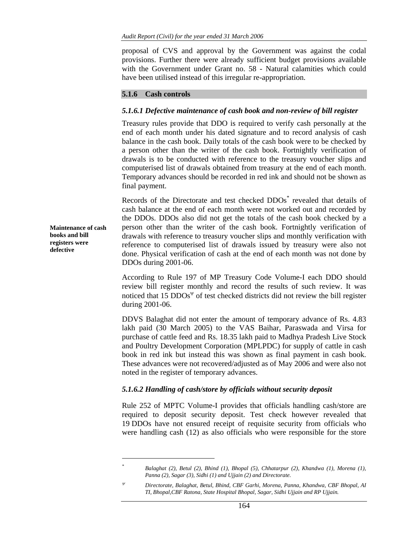proposal of CVS and approval by the Government was against the codal provisions. Further there were already sufficient budget provisions available with the Government under Grant no. 58 - Natural calamities which could have been utilised instead of this irregular re-appropriation.

### **5.1.6 Cash controls**

### *5.1.6.1 Defective maintenance of cash book and non-review of bill register*

Treasury rules provide that DDO is required to verify cash personally at the end of each month under his dated signature and to record analysis of cash balance in the cash book. Daily totals of the cash book were to be checked by a person other than the writer of the cash book. Fortnightly verification of drawals is to be conducted with reference to the treasury voucher slips and computerised list of drawals obtained from treasury at the end of each month. Temporary advances should be recorded in red ink and should not be shown as final payment.

Records of the Directorate and test checked DDOs<sup>\*</sup> revealed that details of cash balance at the end of each month were not worked out and recorded by the DDOs. DDOs also did not get the totals of the cash book checked by a person other than the writer of the cash book. Fortnightly verification of drawals with reference to treasury voucher slips and monthly verification with reference to computerised list of drawals issued by treasury were also not done. Physical verification of cash at the end of each month was not done by DDOs during 2001-06.

According to Rule 197 of MP Treasury Code Volume-I each DDO should review bill register monthly and record the results of such review. It was noticed that  $15 \text{ DDOs}^{\psi}$  of test checked districts did not review the bill register during 2001-06.

DDVS Balaghat did not enter the amount of temporary advance of Rs. 4.83 lakh paid (30 March 2005) to the VAS Baihar, Paraswada and Virsa for purchase of cattle feed and Rs. 18.35 lakh paid to Madhya Pradesh Live Stock and Poultry Development Corporation (MPLPDC) for supply of cattle in cash book in red ink but instead this was shown as final payment in cash book. These advances were not recovered/adjusted as of May 2006 and were also not noted in the register of temporary advances.

#### *5.1.6.2 Handling of cash/store by officials without security deposit*

Rule 252 of MPTC Volume-I provides that officials handling cash/store are required to deposit security deposit. Test check however revealed that 19 DDOs have not ensured receipt of requisite security from officials who were handling cash (12) as also officials who were responsible for the store

**Maintenance of cash books and bill registers were defective** 

 $\overline{\phantom{a}}$ 

*<sup>\*</sup> Balaghat (2), Betul (2), Bhind (1), Bhopal (5), Chhatarpur (2), Khandwa (1), Morena (1), Panna (2), Sagar (3), Sidhi (1) and Ujjain (2) and Directorate.*

<sup>ψ</sup> *Directorate, Balaghat, Betul, Bhind, CBF Garhi, Morena, Panna, Khandwa, CBF Bhopal, AI TI, Bhopal,CBF Ratona, State Hospital Bhopal, Sagar, Sidhi Ujjain and RP Ujjain.*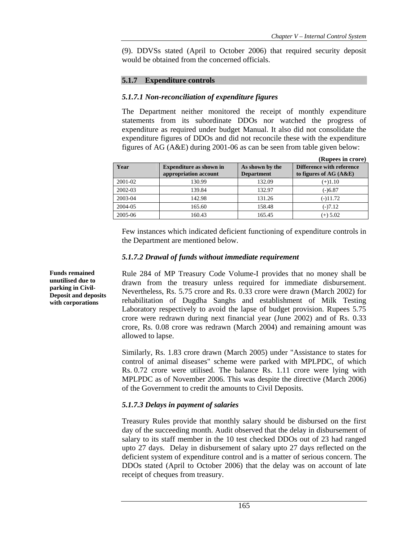(9). DDVSs stated (April to October 2006) that required security deposit would be obtained from the concerned officials.

## **5.1.7 Expenditure controls**

## *5.1.7.1 Non-reconciliation of expenditure figures*

The Department neither monitored the receipt of monthly expenditure statements from its subordinate DDOs nor watched the progress of expenditure as required under budget Manual. It also did not consolidate the expenditure figures of DDOs and did not reconcile these with the expenditure figures of AG (A&E) during 2001-06 as can be seen from table given below:

|         |                                                         |                                      | (Rupees in crore)                                           |
|---------|---------------------------------------------------------|--------------------------------------|-------------------------------------------------------------|
| Year    | <b>Expenditure as shown in</b><br>appropriation account | As shown by the<br><b>Department</b> | <b>Difference with reference</b><br>to figures of $AG(A&E)$ |
| 2001-02 | 130.99                                                  | 132.09                               | $(+)1.10$                                                   |
| 2002-03 | 139.84                                                  | 132.97                               | $(-)6.87$                                                   |
| 2003-04 | 142.98                                                  | 131.26                               | $(-)11.72$                                                  |
| 2004-05 | 165.60                                                  | 158.48                               | $(-)7.12$                                                   |
| 2005-06 | 160.43                                                  | 165.45                               | $(+) 5.02$                                                  |

Few instances which indicated deficient functioning of expenditure controls in the Department are mentioned below.

# *5.1.7.2 Drawal of funds without immediate requirement*

Rule 284 of MP Treasury Code Volume-I provides that no money shall be drawn from the treasury unless required for immediate disbursement. Nevertheless, Rs. 5.75 crore and Rs. 0.33 crore were drawn (March 2002) for rehabilitation of Dugdha Sanghs and establishment of Milk Testing Laboratory respectively to avoid the lapse of budget provision. Rupees 5.75 crore were redrawn during next financial year (June 2002) and of Rs. 0.33 crore, Rs. 0.08 crore was redrawn (March 2004) and remaining amount was allowed to lapse.

Similarly, Rs. 1.83 crore drawn (March 2005) under "Assistance to states for control of animal diseases" scheme were parked with MPLPDC, of which Rs. 0.72 crore were utilised. The balance Rs. 1.11 crore were lying with MPLPDC as of November 2006. This was despite the directive (March 2006) of the Government to credit the amounts to Civil Deposits.

# *5.1.7.3 Delays in payment of salaries*

Treasury Rules provide that monthly salary should be disbursed on the first day of the succeeding month. Audit observed that the delay in disbursement of salary to its staff member in the 10 test checked DDOs out of 23 had ranged upto 27 days. Delay in disbursement of salary upto 27 days reflected on the deficient system of expenditure control and is a matter of serious concern. The DDOs stated (April to October 2006) that the delay was on account of late receipt of cheques from treasury.

**Funds remained unutilised due to parking in Civil-Deposit and deposits with corporations**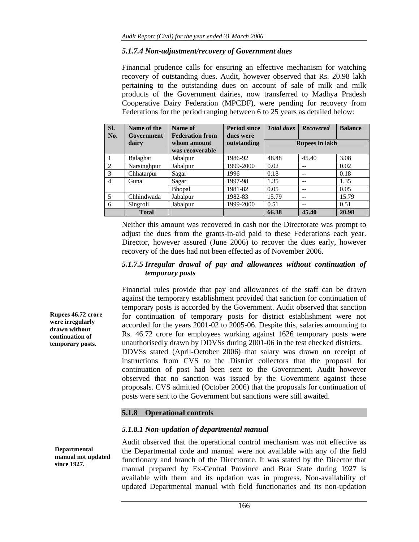### *5.1.7.4 Non-adjustment/recovery of Government dues*

Financial prudence calls for ensuring an effective mechanism for watching recovery of outstanding dues. Audit, however observed that Rs. 20.98 lakh pertaining to the outstanding dues on account of sale of milk and milk products of the Government dairies, now transferred to Madhya Pradesh Cooperative Dairy Federation (MPCDF), were pending for recovery from Federations for the period ranging between 6 to 25 years as detailed below:

| SI.<br>No.     | Name of the<br>Government | Name of<br><b>Federation from</b> | <b>Period since</b><br>dues were | <b>Total dues</b>     | <b>Recovered</b> | <b>Balance</b> |
|----------------|---------------------------|-----------------------------------|----------------------------------|-----------------------|------------------|----------------|
|                | dairy                     | whom amount                       | outstanding                      | <b>Rupees in lakh</b> |                  |                |
|                |                           | was recoverable                   |                                  |                       |                  |                |
|                | Balaghat                  | Jabalpur                          | 1986-92                          | 48.48                 | 45.40            | 3.08           |
| $\overline{2}$ | Narsinghpur               | Jabalpur                          | 1999-2000                        | 0.02                  |                  | 0.02           |
| 3              | Chhatarpur                | Sagar                             | 1996                             | 0.18                  | $- -$            | 0.18           |
| $\overline{4}$ | Guna                      | Sagar                             | 1997-98                          | 1.35                  | $- -$            | 1.35           |
|                |                           | <b>Bhopal</b>                     | 1981-82                          | 0.05                  | $- -$            | 0.05           |
| 5              | Chhindwada                | Jabalpur                          | 1982-83                          | 15.79                 | $-$              | 15.79          |
| 6              | Singroli                  | Jabalpur                          | 1999-2000                        | 0.51                  | $-$              | 0.51           |
|                | <b>Total</b>              |                                   |                                  | 66.38                 | 45.40            | 20.98          |

Neither this amount was recovered in cash nor the Directorate was prompt to adjust the dues from the grants-in-aid paid to these Federations each year. Director, however assured (June 2006) to recover the dues early, however recovery of the dues had not been effected as of November 2006.

#### *5.1.7.5 Irregular drawal of pay and allowances without continuation of temporary posts*

Financial rules provide that pay and allowances of the staff can be drawn against the temporary establishment provided that sanction for continuation of temporary posts is accorded by the Government. Audit observed that sanction for continuation of temporary posts for district establishment were not accorded for the years 2001-02 to 2005-06. Despite this, salaries amounting to Rs. 46.72 crore for employees working against 1626 temporary posts were unauthorisedly drawn by DDVSs during 2001-06 in the test checked districts. DDVSs stated (April-October 2006) that salary was drawn on receipt of instructions from CVS to the District collectors that the proposal for continuation of post had been sent to the Government. Audit however observed that no sanction was issued by the Government against these proposals. CVS admitted (October 2006) that the proposals for continuation of posts were sent to the Government but sanctions were still awaited.

### **5.1.8 Operational controls**

## *5.1.8.1 Non-updation of departmental manual*

**Departmental manual not updated since 1927.** 

Audit observed that the operational control mechanism was not effective as the Departmental code and manual were not available with any of the field functionary and branch of the Directorate. It was stated by the Director that manual prepared by Ex-Central Province and Brar State during 1927 is available with them and its updation was in progress. Non-availability of updated Departmental manual with field functionaries and its non-updation

**Rupees 46.72 crore were irregularly drawn without continuation of temporary posts.**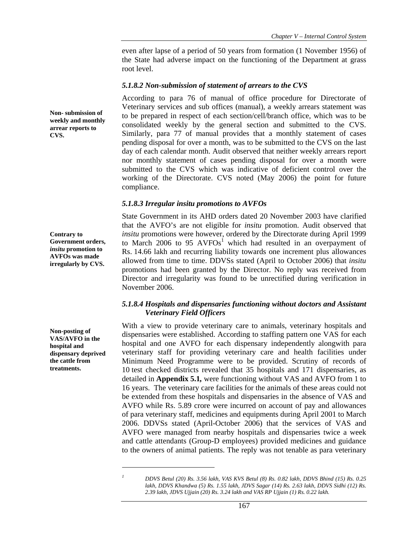even after lapse of a period of 50 years from formation (1 November 1956) of the State had adverse impact on the functioning of the Department at grass root level.

### *5.1.8.2 Non-submission of statement of arrears to the CVS*

According to para 76 of manual of office procedure for Directorate of Veterinary services and sub offices (manual), a weekly arrears statement was to be prepared in respect of each section/cell/branch office, which was to be consolidated weekly by the general section and submitted to the CVS. Similarly, para 77 of manual provides that a monthly statement of cases pending disposal for over a month, was to be submitted to the CVS on the last day of each calendar month. Audit observed that neither weekly arrears report nor monthly statement of cases pending disposal for over a month were submitted to the CVS which was indicative of deficient control over the working of the Directorate. CVS noted (May 2006) the point for future compliance.

#### *5.1.8.3 Irregular insitu promotions to AVFOs*

State Government in its AHD orders dated 20 November 2003 have clarified that the AVFO's are not eligible for *insitu* promotion. Audit observed that *insitu* promotions were however, ordered by the Directorate during April 1999 to March 2006 to 95  $AVFOs<sup>1</sup>$  which had resulted in an overpayment of Rs. 14.66 lakh and recurring liability towards one increment plus allowances allowed from time to time. DDVSs stated (April to October 2006) that *insitu*  promotions had been granted by the Director. No reply was received from Director and irregularity was found to be unrectified during verification in November 2006.

## *5.1.8.4 Hospitals and dispensaries functioning without doctors and Assistant Veterinary Field Officers*

With a view to provide veterinary care to animals, veterinary hospitals and dispensaries were established. According to staffing pattern one VAS for each hospital and one AVFO for each dispensary independently alongwith para veterinary staff for providing veterinary care and health facilities under Minimum Need Programme were to be provided. Scrutiny of records of 10 test checked districts revealed that 35 hospitals and 171 dispensaries, as detailed in **Appendix 5.1***,* were functioning without VAS and AVFO from 1 to 16 years. The veterinary care facilities for the animals of these areas could not be extended from these hospitals and dispensaries in the absence of VAS and AVFO while Rs. 5.89 crore were incurred on account of pay and allowances of para veterinary staff, medicines and equipments during April 2001 to March 2006. DDVSs stated (April-October 2006) that the services of VAS and AVFO were managed from nearby hospitals and dispensaries twice a week and cattle attendants (Group-D employees) provided medicines and guidance to the owners of animal patients. The reply was not tenable as para veterinary

**Contrary to Government orders,**  *insitu* **promotion to AVFOs was made irregularly by CVS.** 

**Non- submission of weekly and monthly arrear reports to** 

**CVS.** 

**Non-posting of VAS/AVFO in the hospital and dispensary deprived the cattle from treatments.** 

> $\overline{a}$ *1*

*DDVS Betul (20) Rs. 3.56 lakh, VAS KVS Betul (8) Rs. 0.82 lakh, DDVS Bhind (15) Rs. 0.25 lakh, DDVS Khandwa (5) Rs. 1.55 lakh, JDVS Sagar (14) Rs. 2.63 lakh, DDVS Sidhi (12) Rs. 2.39 lakh, JDVS Ujjain (20) Rs. 3.24 lakh and VAS RP Ujjain (1) Rs. 0.22 lakh.*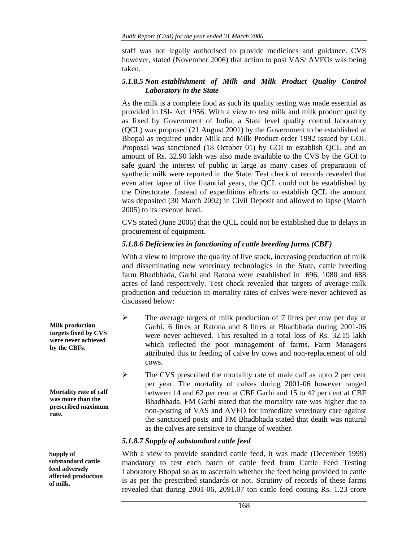staff was not legally authorised to provide medicines and guidance. CVS however, stated (November 2006) that action to post VAS/ AVFOs was being taken.

### *5.1.8.5 Non-establishment of Milk and Milk Product Quality Control Laboratory in the State*

As the milk is a complete food as such its quality testing was made essential as provided in ISI- Act 1956. With a view to test milk and milk product quality as fixed by Government of India, a State level quality control laboratory (QCL) was proposed (21 August 2001) by the Government to be established at Bhopal as required under Milk and Milk Product order 1992 issued by GOI. Proposal was sanctioned (18 October 01) by GOI to establish QCL and an amount of Rs. 32.90 lakh was also made available to the CVS by the GOI to safe guard the interest of public at large as many cases of preparation of synthetic milk were reported in the State. Test check of records revealed that even after lapse of five financial years, the QCL could not be established by the Directorate. Instead of expeditious efforts to establish QCL the amount was deposited (30 March 2002) in Civil Deposit and allowed to lapse (March 2005) to its revenue head.

CVS stated (June 2006) that the QCL could not be established due to delays in procurement of equipment.

## *5.1.8.6 Deficiencies in functioning of cattle breeding farms (CBF)*

With a view to improve the quality of live stock, increasing production of milk and disseminating new veterinary technologies in the State, cattle breeding farm Bhadbhada, Garhi and Ratona were established in 696, 1080 and 688 acres of land respectively. Test check revealed that targets of average milk production and reduction in mortality rates of calves were never achieved as discussed below:

- ¾ The average targets of milk production of 7 litres per cow per day at Garhi, 6 litres at Ratona and 8 litres at Bhadbhada during 2001-06 were never achieved. This resulted in a total loss of Rs. 32.15 lakh which reflected the poor management of farms. Farm Managers attributed this to feeding of calve by cows and non-replacement of old cows.
- $\triangleright$  The CVS prescribed the mortality rate of male calf as upto 2 per cent per year. The mortality of calves during 2001-06 however ranged between 14 and 62 per cent at CBF Garhi and 15 to 42 per cent at CBF Bhadbhada. FM Garhi stated that the mortality rate was higher due to non-posting of VAS and AVFO for immediate veterinary care against the sanctioned posts and FM Bhadbhada stated that death was natural as the calves are sensitive to change of weather.

## *5.1.8.7 Supply of substandard cattle feed*

With a view to provide standard cattle feed, it was made (December 1999) mandatory to test each batch of cattle feed from Cattle Feed Testing Laboratory Bhopal so as to ascertain whether the feed being provided to cattle is as per the prescribed standards or not. Scrutiny of records of these farms revealed that during 2001-06, 2091.07 ton cattle feed costing Rs. 1.23 crore

**Milk production targets fixed by CVS were never achieved by the CBFs.** 

**Mortality rate of calf was more than the prescribed maximum rate.** 

**Supply of substandard cattle feed adversely affected production of milk.**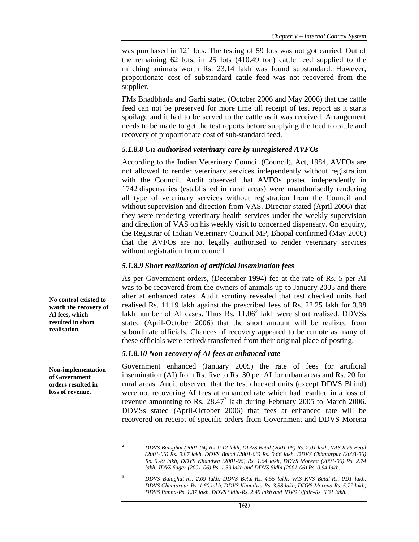was purchased in 121 lots. The testing of 59 lots was not got carried. Out of the remaining 62 lots, in 25 lots (410.49 ton) cattle feed supplied to the milching animals worth Rs. 23.14 lakh was found substandard. However, proportionate cost of substandard cattle feed was not recovered from the supplier.

FMs Bhadbhada and Garhi stated (October 2006 and May 2006) that the cattle feed can not be preserved for more time till receipt of test report as it starts spoilage and it had to be served to the cattle as it was received. Arrangement needs to be made to get the test reports before supplying the feed to cattle and recovery of proportionate cost of sub-standard feed.

#### *5.1.8.8 Un-authorised veterinary care by unregistered AVFOs*

According to the Indian Veterinary Council (Council), Act, 1984, AVFOs are not allowed to render veterinary services independently without registration with the Council. Audit observed that AVFOs posted independently in 1742 dispensaries (established in rural areas) were unauthorisedly rendering all type of veterinary services without registration from the Council and without supervision and direction from VAS. Director stated (April 2006) that they were rendering veterinary health services under the weekly supervision and direction of VAS on his weekly visit to concerned dispensary. On enquiry, the Registrar of Indian Veterinary Council MP, Bhopal confirmed (May 2006) that the AVFOs are not legally authorised to render veterinary services without registration from council.

### *5.1.8.9 Short realization of artificial insemination fees*

As per Government orders, (December 1994) fee at the rate of Rs. 5 per AI was to be recovered from the owners of animals up to January 2005 and there after at enhanced rates. Audit scrutiny revealed that test checked units had realised Rs. 11.19 lakh against the prescribed fees of Rs. 22.25 lakh for 3.98 lakh number of AI cases. Thus  $\text{Rs.}$  11.06<sup>2</sup> lakh were short realised. DDVSs stated (April-October 2006) that the short amount will be realized from subordinate officials. Chances of recovery appeared to be remote as many of these officials were retired/ transferred from their original place of posting.

### *5.1.8.10 Non-recovery of AI fees at enhanced rate*

Government enhanced (January 2005) the rate of fees for artificial insemination (AI) from Rs. five to Rs. 30 per AI for urban areas and Rs. 20 for rural areas. Audit observed that the test checked units (except DDVS Bhind) were not recovering AI fees at enhanced rate which had resulted in a loss of revenue amounting to Rs.  $28.47<sup>3</sup>$  lakh during February 2005 to March 2006. DDVSs stated (April-October 2006) that fees at enhanced rate will be recovered on receipt of specific orders from Government and DDVS Morena

**No control existed to watch the recovery of AI fees, which resulted in short realisation.** 

**Non-implementation of Government orders resulted in loss of revenue.** 

> $\overline{\phantom{a}}$ *2*

*DDVS Balaghat (2001-04) Rs. 0.12 lakh, DDVS Betul (2001-06) Rs. 2.01 lakh, VAS KVS Betul (2001-06) Rs. 0.87 lakh, DDVS Bhind (2001-06) Rs. 0.66 lakh, DDVS Chhatarpur (2003-06) Rs. 0.49 lakh, DDVS Khandwa (2001-06) Rs. 1.64 lakh, DDVS Morena (2001-06) Rs. 2.74 lakh, JDVS Sagar (2001-06) Rs. 1.59 lakh and DDVS Sidhi (2001-06) Rs. 0.94 lakh.* 

*<sup>3</sup> DDVS Balaghat-Rs. 2.09 lakh, DDVS Betul-Rs. 4.55 lakh, VAS KVS Betul-Rs. 0.91 lakh, DDVS Chhatarpur-Rs. 1.60 lakh, DDVS Khandwa-Rs. 3.38 lakh, DDVS Morena-Rs. 5.77 lakh, DDVS Panna-Rs. 1.37 lakh, DDVS Sidhi-Rs. 2.49 lakh and JDVS Ujjain-Rs. 6.31 lakh.*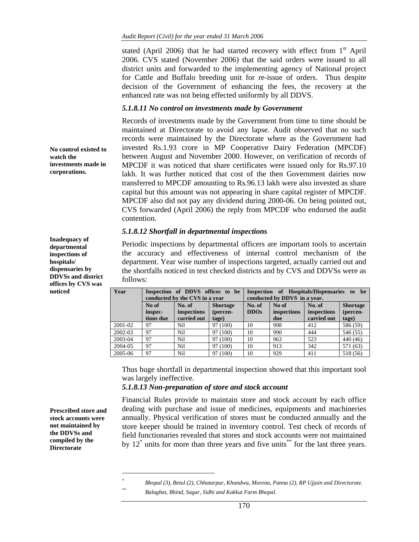stated (April 2006) that he had started recovery with effect from 1<sup>st</sup> April 2006. CVS stated (November 2006) that the said orders were issued to all district units and forwarded to the implementing agency of National project for Cattle and Buffalo breeding unit for re-issue of orders. Thus despite decision of the Government of enhancing the fees, the recovery at the enhanced rate was not being effected uniformly by all DDVS.

#### *5.1.8.11 No control on investments made by Government*

Records of investments made by the Government from time to time should be maintained at Directorate to avoid any lapse. Audit observed that no such records were maintained by the Directorate where as the Government had invested Rs.1.93 crore in MP Cooperative Dairy Federation (MPCDF) between August and November 2000. However, on verification of records of MPCDF it was noticed that share certificates were issued only for Rs.97.10 lakh. It was further noticed that cost of the then Government dairies now transferred to MPCDF amounting to Rs.96.13 lakh were also invested as share capital but this amount was not appearing in share capital register of MPCDF. MPCDF also did not pay any dividend during 2000-06. On being pointed out, CVS forwarded (April 2006) the reply from MPCDF who endorsed the audit contention.

#### *5.1.8.12 Shortfall in departmental inspections*

Periodic inspections by departmental officers are important tools to ascertain the accuracy and effectiveness of internal control mechanism of the department. Year wise number of inspections targeted, actually carried out and the shortfalls noticed in test checked districts and by CVS and DDVSs were as follows:

| Year    | Inspection of DDVS offices to be<br>conducted by the CVS in a year |                                      |                                      | Inspection of Hospitals/Dispensaries to<br>be<br>conducted by DDVS in a year. |                             |                                      |                                      |
|---------|--------------------------------------------------------------------|--------------------------------------|--------------------------------------|-------------------------------------------------------------------------------|-----------------------------|--------------------------------------|--------------------------------------|
|         | No of<br>inspec-<br>tions due                                      | No. of<br>inspections<br>carried out | <b>Shortage</b><br>(percen-<br>tage) | No. of<br><b>DDOs</b>                                                         | No of<br>inspections<br>due | No. of<br>inspections<br>carried out | <b>Shortage</b><br>(percen-<br>tage) |
| 2001-02 | 97                                                                 | Nil                                  | 97 (100)                             | 10                                                                            | 998                         | 412                                  | 586 (59)                             |
| 2002-03 | 97                                                                 | Nil                                  | 97 (100)                             | 10                                                                            | 990                         | 444                                  | 546 (55)                             |
| 2003-04 | 97                                                                 | Nil                                  | 97 (100)                             | 10                                                                            | 963                         | 523                                  | 440 (46)                             |
| 2004-05 | 97                                                                 | Nil                                  | 97 (100)                             | 10                                                                            | 913                         | 342                                  | 571 (63)                             |
| 2005-06 | 97                                                                 | Nil                                  | 97 (100)                             | 10                                                                            | 929                         | 411                                  | 518 (56)                             |

Thus huge shortfall in departmental inspection showed that this important tool was largely ineffective.

#### *5.1.8.13 Non-preparation of store and stock account*

Financial Rules provide to maintain store and stock account by each office dealing with purchase and issue of medicines, equipments and machineries annually. Physical verification of stores must be conducted annually and the store keeper should be trained in inventory control. Test check of records of field functionaries revealed that stores and stock accounts were not maintained by  $12^*$  units for more than three years and five units<sup>\*\*</sup> for the last three years.

**No control existed to** 

**investments made in corporations.** 

**watch the** 

**Inadequacy of departmental inspections of hospitals/ dispensaries by DDVSs and district offices by CVS was** 

**noticed** 

 $\overline{a}$ 

**Prescribed store and stock accounts were not maintained by the DDVSs and compiled by the Directorate** 

*<sup>\*</sup> Bhopal (3), Betul (2), Chhatarpur, Khandwa, Morena, Panna (2), RP Ujjain and Directorate.*

*<sup>\*\*</sup> Balaghat, Bhind, Sagar, Sidhi and Kukkut Farm Bhopal.*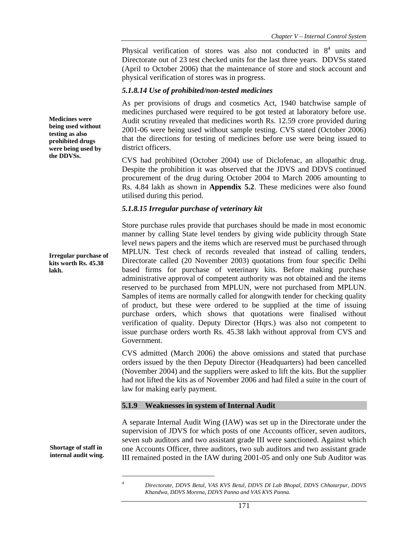Physical verification of stores was also not conducted in  $8<sup>4</sup>$  units and Directorate out of 23 test checked units for the last three years. DDVSs stated (April to October 2006) that the maintenance of store and stock account and physical verification of stores was in progress.

### *5.1.8.14 Use of prohibited/non-tested medicines*

As per provisions of drugs and cosmetics Act, 1940 batchwise sample of medicines purchased were required to be got tested at laboratory before use. Audit scrutiny revealed that medicines worth Rs. 12.59 crore provided during 2001-06 were being used without sample testing. CVS stated (October 2006) that the directions for testing of medicines before use were being issued to district officers.

CVS had prohibited (October 2004) use of Diclofenac, an allopathic drug. Despite the prohibition it was observed that the JDVS and DDVS continued procurement of the drug during October 2004 to March 2006 amounting to Rs. 4.84 lakh as shown in **Appendix 5.2**. These medicines were also found utilised during this period.

## *5.1.8.15 Irregular purchase of veterinary kit*

Store purchase rules provide that purchases should be made in most economic manner by calling State level tenders by giving wide publicity through State level news papers and the items which are reserved must be purchased through MPLUN. Test check of records revealed that instead of calling tenders, Directorate called (20 November 2003) quotations from four specific Delhi based firms for purchase of veterinary kits. Before making purchase administrative approval of competent authority was not obtained and the items reserved to be purchased from MPLUN, were not purchased from MPLUN. Samples of items are normally called for alongwith tender for checking quality of product, but these were ordered to be supplied at the time of issuing purchase orders, which shows that quotations were finalised without verification of quality. Deputy Director (Hqrs.) was also not competent to issue purchase orders worth Rs. 45.38 lakh without approval from CVS and Government.

CVS admitted (March 2006) the above omissions and stated that purchase orders issued by the then Deputy Director (Headquarters) had been cancelled (November 2004) and the suppliers were asked to lift the kits. But the supplier had not lifted the kits as of November 2006 and had filed a suite in the court of law for making early payment.

## **5.1.9 Weaknesses in system of Internal Audit**

A separate Internal Audit Wing (IAW) was set up in the Directorate under the supervision of JDVS for which posts of one Accounts officer, seven auditors, seven sub auditors and two assistant grade III were sanctioned. Against which one Accounts Officer, three auditors, two sub auditors and two assistant grade III remained posted in the IAW during 2001-05 and only one Sub Auditor was

**Shortage of staff in internal audit wing.** 

> $\overline{\phantom{a}}$ *4*

**Medicines were being used without testing as also prohibited drugs were being used by the DDVSs.** 

**Irregular purchase of kits worth Rs. 45.38 lakh.** 

*Directorate, DDVS Betul, VAS KVS Betul, DDVS DI Lab Bhopal, DDVS Chhatarpur, DDVS Khandwa, DDVS Morena, DDVS Panna and VAS KVS Panna.*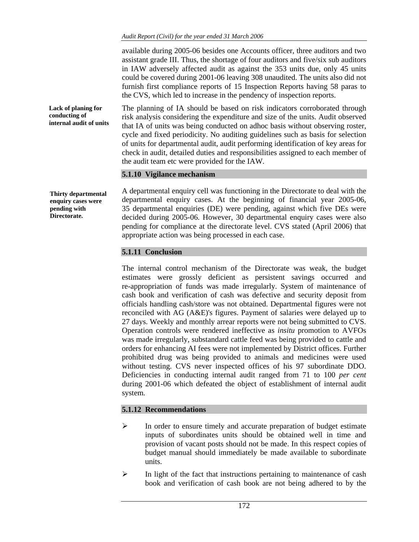available during 2005-06 besides one Accounts officer, three auditors and two assistant grade III. Thus, the shortage of four auditors and five/six sub auditors in IAW adversely affected audit as against the 353 units due, only 45 units could be covered during 2001-06 leaving 308 unaudited. The units also did not furnish first compliance reports of 15 Inspection Reports having 58 paras to the CVS, which led to increase in the pendency of inspection reports.

The planning of IA should be based on risk indicators corroborated through risk analysis considering the expenditure and size of the units. Audit observed that IA of units was being conducted on adhoc basis without observing roster, cycle and fixed periodicity. No auditing guidelines such as basis for selection of units for departmental audit, audit performing identification of key areas for check in audit, detailed duties and responsibilities assigned to each member of the audit team etc were provided for the IAW. **Lack of planing for internal audit of units** 

#### **5.1.10 Vigilance mechanism**

**Thirty departmental enquiry cases were pending with Directorate.** 

**conducting of** 

A departmental enquiry cell was functioning in the Directorate to deal with the departmental enquiry cases. At the beginning of financial year 2005-06, 35 departmental enquiries (DE) were pending, against which five DEs were decided during 2005-06. However, 30 departmental enquiry cases were also pending for compliance at the directorate level. CVS stated (April 2006) that appropriate action was being processed in each case.

### **5.1.11 Conclusion**

The internal control mechanism of the Directorate was weak, the budget estimates were grossly deficient as persistent savings occurred and re-appropriation of funds was made irregularly. System of maintenance of cash book and verification of cash was defective and security deposit from officials handling cash/store was not obtained. Departmental figures were not reconciled with AG (A&E)'s figures. Payment of salaries were delayed up to 27 days. Weekly and monthly arrear reports were not being submitted to CVS. Operation controls were rendered ineffective as *insitu* promotion to AVFOs was made irregularly, substandard cattle feed was being provided to cattle and orders for enhancing AI fees were not implemented by District offices. Further prohibited drug was being provided to animals and medicines were used without testing. CVS never inspected offices of his 97 subordinate DDO. Deficiencies in conducting internal audit ranged from 71 to 100 *per cent*  during 2001-06 which defeated the object of establishment of internal audit system.

### **5.1.12 Recommendations**

- $\triangleright$  In order to ensure timely and accurate preparation of budget estimate inputs of subordinates units should be obtained well in time and provision of vacant posts should not be made. In this respect copies of budget manual should immediately be made available to subordinate units.
- $\triangleright$  In light of the fact that instructions pertaining to maintenance of cash book and verification of cash book are not being adhered to by the